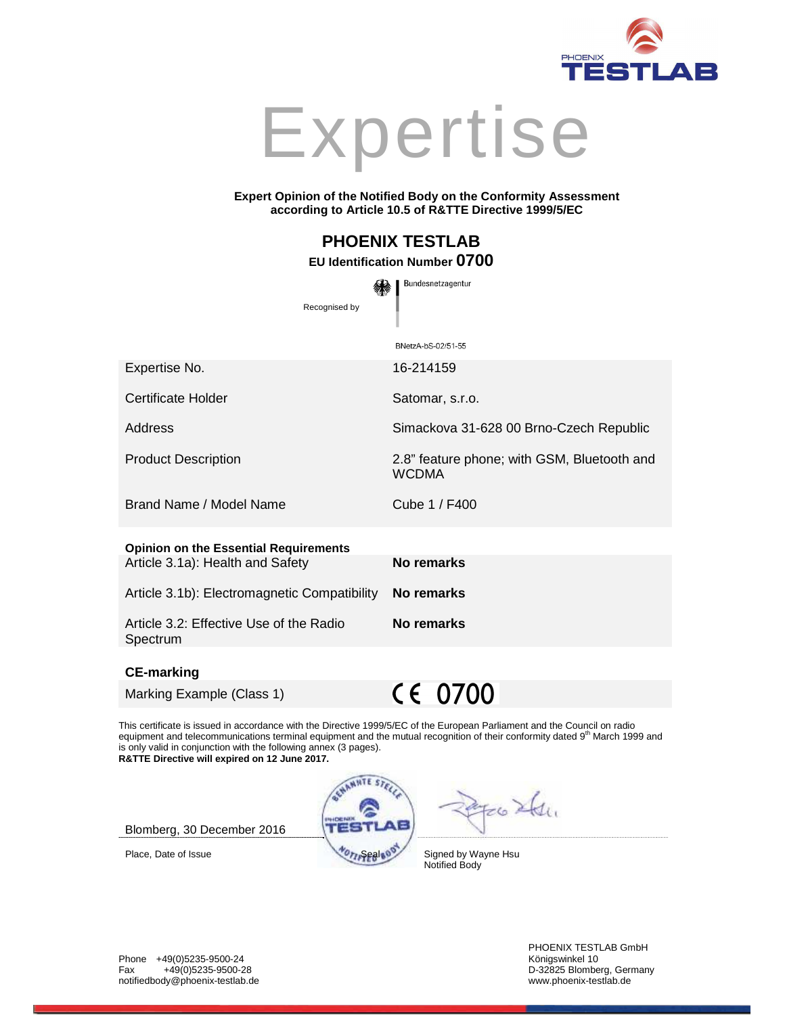



#### **Expert Opinion of the Notified Body on the Conformity Assessment according to Article 10.5 of R&TTE Directive 1999/5/EC**

# **PHOENIX TESTLAB**

## **EU Identification Number 0700**

Bundesnetzagentur Recognised by BNetzA-bS-02/51-55 Expertise No. 16-214159 Certificate Holder Satomar, s.r.o. Address **Simackova 31-628 00 Brno-Czech Republic** Product Description 2.8" feature phone; with GSM, Bluetooth and WCDMA Brand Name / Model Name Cube 1 / F400 **Opinion on the Essential Requirements** Article 3.1a): Health and Safety **No remarks** Article 3.1b): Electromagnetic Compatibility **No remarks** 

Spectrum

Article 3.2: Effective Use of the Radio

#### **CE-marking**

Marking Example (Class 1)

 $C \in 0700$ 

**No remarks** 

This certificate is issued in accordance with the Directive 1999/5/EC of the European Parliament and the Council on radio equipment and telecommunications terminal equipment and the mutual recognition of their conformity dated 9<sup>th</sup> March 1999 and is only valid in conjunction with the following annex (3 pages). **R&TTE Directive will expired on 12 June 2017.**



 $Fe6244$ 

Blomberg, 30 December 2016

Place, Date of Issue Signed by Wayne Hsu Notified Body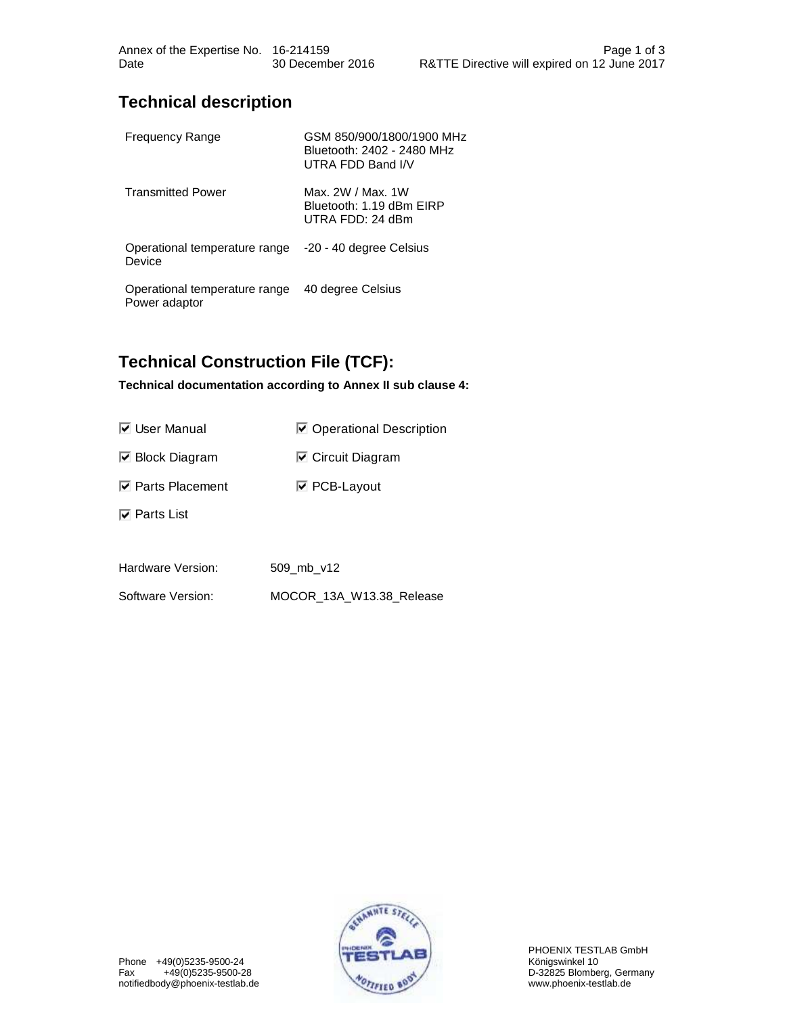## **Technical description**

| <b>Frequency Range</b>                         | GSM 850/900/1800/1900 MHz<br>Bluetooth: 2402 - 2480 MHz<br>UTRA FDD Band I/V |
|------------------------------------------------|------------------------------------------------------------------------------|
| <b>Transmitted Power</b>                       | Max. 2W / Max. 1W<br>Bluetooth: 1.19 dBm EIRP<br>UTRA FDD: 24 dBm            |
| Operational temperature range<br>Device        | -20 - 40 degree Celsius                                                      |
| Operational temperature range<br>Power adaptor | 40 degree Celsius                                                            |

# **Technical Construction File (TCF):**

**Technical documentation according to Annex II sub clause 4:** 

| <b>⊽</b> User Manual                             | ☑ Operational Description |  |
|--------------------------------------------------|---------------------------|--|
| $\boxdot$ Block Diagram                          | ☑ Circuit Diagram         |  |
| <b><math>\overline{M}</math></b> Parts Placement | <b>☑ PCB-Layout</b>       |  |
| $\nabla$ Parts List                              |                           |  |
|                                                  |                           |  |
| Hardware Version:                                | 509 mb v12                |  |
| Software Version:                                | MOCOR 13A W13.38 Release  |  |

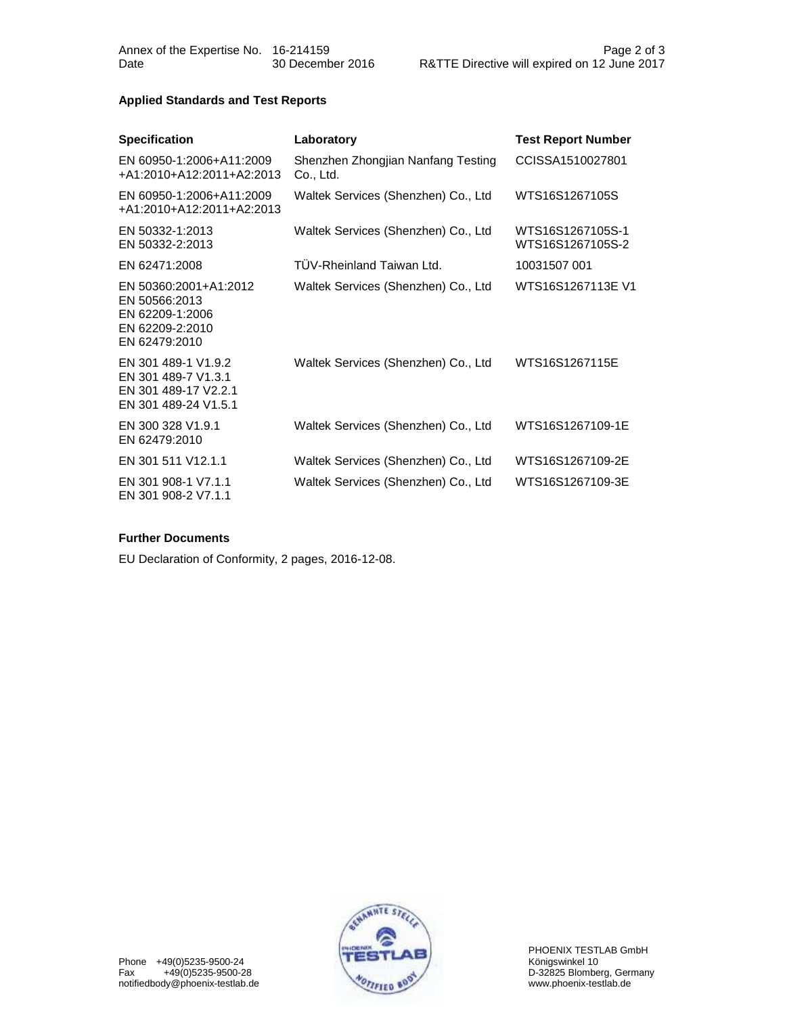Date 30 December 2016 R&TTE Directive will expired on 12 June 2017

### **Applied Standards and Test Reports**

| <b>Specification</b>                                                                          | Laboratory                                      | <b>Test Report Number</b>            |
|-----------------------------------------------------------------------------------------------|-------------------------------------------------|--------------------------------------|
| EN 60950-1:2006+A11:2009<br>+A1:2010+A12:2011+A2:2013                                         | Shenzhen Zhongjian Nanfang Testing<br>Co., Ltd. | CCISSA1510027801                     |
| EN 60950-1:2006+A11:2009<br>+A1:2010+A12:2011+A2:2013                                         | Waltek Services (Shenzhen) Co., Ltd             | WTS16S1267105S                       |
| EN 50332-1:2013<br>EN 50332-2:2013                                                            | Waltek Services (Shenzhen) Co., Ltd             | WTS16S1267105S-1<br>WTS16S1267105S-2 |
| EN 62471:2008                                                                                 | TÜV-Rheinland Taiwan Ltd.                       | 10031507 001                         |
| EN 50360:2001+A1:2012<br>EN 50566:2013<br>EN 62209-1:2006<br>EN 62209-2:2010<br>EN 62479:2010 | Waltek Services (Shenzhen) Co., Ltd             | WTS16S1267113E V1                    |
| EN 301 489-1 V1.9.2<br>EN 301 489-7 V1.3.1<br>EN 301 489-17 V2.2.1<br>EN 301 489-24 V1.5.1    | Waltek Services (Shenzhen) Co., Ltd             | WTS16S1267115E                       |
| EN 300 328 V1.9.1<br>EN 62479:2010                                                            | Waltek Services (Shenzhen) Co., Ltd             | WTS16S1267109-1E                     |
| EN 301 511 V12.1.1                                                                            | Waltek Services (Shenzhen) Co., Ltd             | WTS16S1267109-2E                     |
| EN 301 908-1 V7.1.1<br>EN 301 908-2 V7.1.1                                                    | Waltek Services (Shenzhen) Co., Ltd             | WTS16S1267109-3E                     |

#### **Further Documents**

EU Declaration of Conformity, 2 pages, 2016-12-08.



PHOENIX TESTLAB GmbH<br>Königswinkel 10 D-32825 Blomberg, Germany<br>www.phoenix-testlab.de